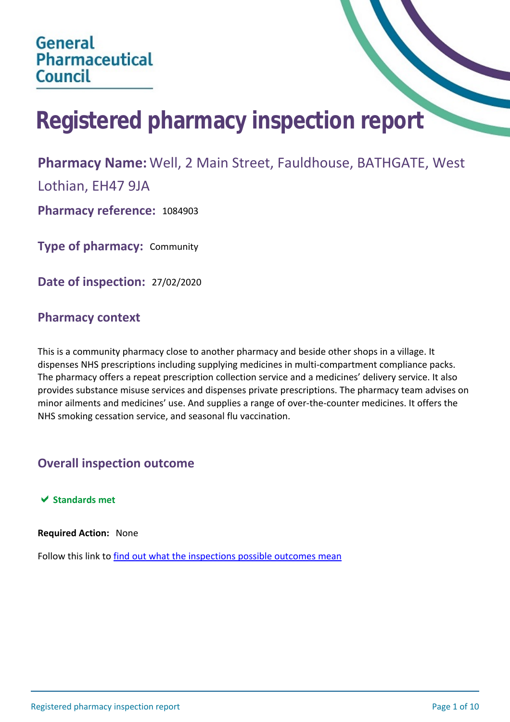# **Registered pharmacy inspection report**

## **Pharmacy Name:** Well, 2 Main Street, Fauldhouse, BATHGATE, West

Lothian, EH47 9JA

**Pharmacy reference:** 1084903

**Type of pharmacy:** Community

**Date of inspection:** 27/02/2020

## **Pharmacy context**

This is a community pharmacy close to another pharmacy and beside other shops in a village. It dispenses NHS prescriptions including supplying medicines in multi-compartment compliance packs. The pharmacy offers a repeat prescription collection service and a medicines' delivery service. It also provides substance misuse services and dispenses private prescriptions. The pharmacy team advises on minor ailments and medicines' use. And supplies a range of over-the-counter medicines. It offers the NHS smoking cessation service, and seasonal flu vaccination.

## **Overall inspection outcome**

 $★$  **Standards met** 

**Required Action:** None

Follow this link to [find out what the inspections possible outcomes mean](#page-10-0)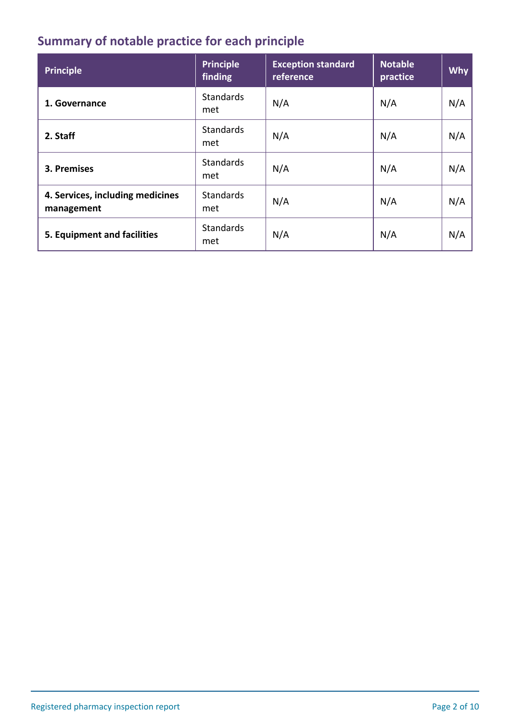# **Summary of notable practice for each principle**

| <b>Principle</b>                               | <b>Principle</b><br>finding | <b>Exception standard</b><br>reference | <b>Notable</b><br>practice | <b>Why</b> |
|------------------------------------------------|-----------------------------|----------------------------------------|----------------------------|------------|
| 1. Governance                                  | <b>Standards</b><br>met     | N/A                                    | N/A                        | N/A        |
| 2. Staff                                       | <b>Standards</b><br>met     | N/A                                    | N/A                        | N/A        |
| 3. Premises                                    | <b>Standards</b><br>met     | N/A                                    | N/A                        | N/A        |
| 4. Services, including medicines<br>management | <b>Standards</b><br>met     | N/A                                    | N/A                        | N/A        |
| 5. Equipment and facilities                    | <b>Standards</b><br>met     | N/A                                    | N/A                        | N/A        |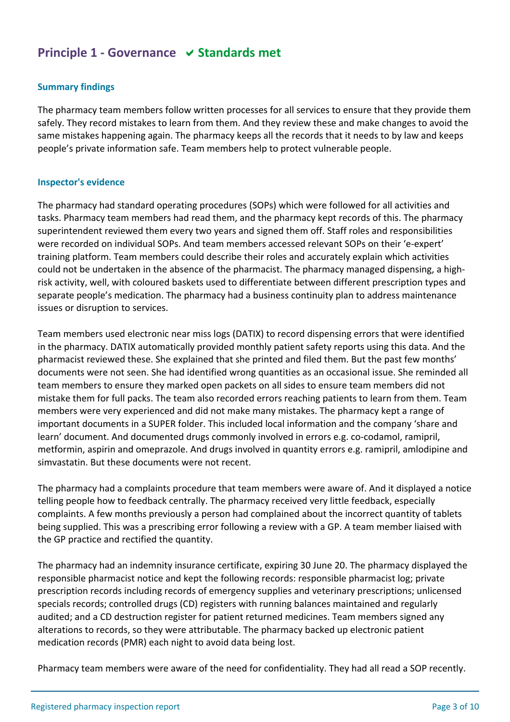## **Principle 1 - Governance**  $\vee$  **Standards met**

## **Summary findings**

The pharmacy team members follow written processes for all services to ensure that they provide them safely. They record mistakes to learn from them. And they review these and make changes to avoid the same mistakes happening again. The pharmacy keeps all the records that it needs to by law and keeps people's private information safe. Team members help to protect vulnerable people.

#### **Inspector's evidence**

The pharmacy had standard operating procedures (SOPs) which were followed for all activities and tasks. Pharmacy team members had read them, and the pharmacy kept records of this. The pharmacy superintendent reviewed them every two years and signed them off. Staff roles and responsibilities were recorded on individual SOPs. And team members accessed relevant SOPs on their 'e-expert' training platform. Team members could describe their roles and accurately explain which activities could not be undertaken in the absence of the pharmacist. The pharmacy managed dispensing, a highrisk activity, well, with coloured baskets used to differentiate between different prescription types and separate people's medication. The pharmacy had a business continuity plan to address maintenance issues or disruption to services.

Team members used electronic near miss logs (DATIX) to record dispensing errors that were identified in the pharmacy. DATIX automatically provided monthly patient safety reports using this data. And the pharmacist reviewed these. She explained that she printed and filed them. But the past few months' documents were not seen. She had identified wrong quantities as an occasional issue. She reminded all team members to ensure they marked open packets on all sides to ensure team members did not mistake them for full packs. The team also recorded errors reaching patients to learn from them. Team members were very experienced and did not make many mistakes. The pharmacy kept a range of important documents in a SUPER folder. This included local information and the company 'share and learn' document. And documented drugs commonly involved in errors e.g. co-codamol, ramipril, metformin, aspirin and omeprazole. And drugs involved in quantity errors e.g. ramipril, amlodipine and simvastatin. But these documents were not recent.

The pharmacy had a complaints procedure that team members were aware of. And it displayed a notice telling people how to feedback centrally. The pharmacy received very little feedback, especially complaints. A few months previously a person had complained about the incorrect quantity of tablets being supplied. This was a prescribing error following a review with a GP. A team member liaised with the GP practice and rectified the quantity.

The pharmacy had an indemnity insurance certificate, expiring 30 June 20. The pharmacy displayed the responsible pharmacist notice and kept the following records: responsible pharmacist log; private prescription records including records of emergency supplies and veterinary prescriptions; unlicensed specials records; controlled drugs (CD) registers with running balances maintained and regularly audited; and a CD destruction register for patient returned medicines. Team members signed any alterations to records, so they were attributable. The pharmacy backed up electronic patient medication records (PMR) each night to avoid data being lost.

Pharmacy team members were aware of the need for confidentiality. They had all read a SOP recently.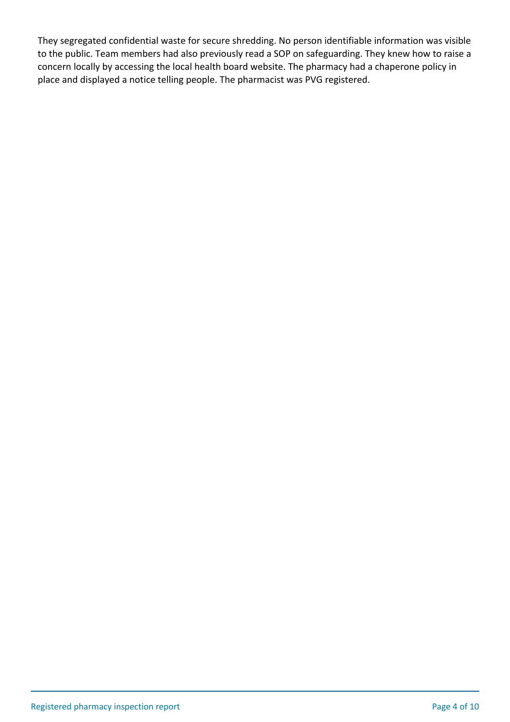They segregated confidential waste for secure shredding. No person identifiable information was visible to the public. Team members had also previously read a SOP on safeguarding. They knew how to raise a concern locally by accessing the local health board website. The pharmacy had a chaperone policy in place and displayed a notice telling people. The pharmacist was PVG registered.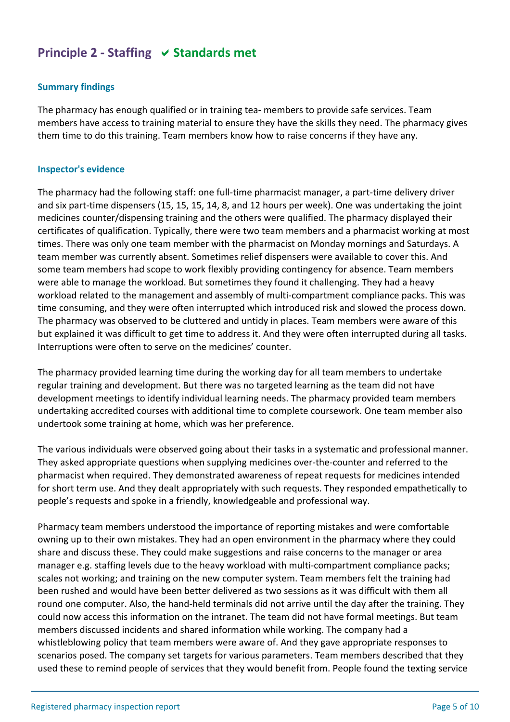## **Principle 2 - Staffing**  $\vee$  **Standards met**

## **Summary findings**

The pharmacy has enough qualified or in training tea- members to provide safe services. Team members have access to training material to ensure they have the skills they need. The pharmacy gives them time to do this training. Team members know how to raise concerns if they have any.

#### **Inspector's evidence**

The pharmacy had the following staff: one full-time pharmacist manager, a part-time delivery driver and six part-time dispensers (15, 15, 15, 14, 8, and 12 hours per week). One was undertaking the joint medicines counter/dispensing training and the others were qualified. The pharmacy displayed their certificates of qualification. Typically, there were two team members and a pharmacist working at most times. There was only one team member with the pharmacist on Monday mornings and Saturdays. A team member was currently absent. Sometimes relief dispensers were available to cover this. And some team members had scope to work flexibly providing contingency for absence. Team members were able to manage the workload. But sometimes they found it challenging. They had a heavy workload related to the management and assembly of multi-compartment compliance packs. This was time consuming, and they were often interrupted which introduced risk and slowed the process down. The pharmacy was observed to be cluttered and untidy in places. Team members were aware of this but explained it was difficult to get time to address it. And they were often interrupted during all tasks. Interruptions were often to serve on the medicines' counter.

The pharmacy provided learning time during the working day for all team members to undertake regular training and development. But there was no targeted learning as the team did not have development meetings to identify individual learning needs. The pharmacy provided team members undertaking accredited courses with additional time to complete coursework. One team member also undertook some training at home, which was her preference.

The various individuals were observed going about their tasks in a systematic and professional manner. They asked appropriate questions when supplying medicines over-the-counter and referred to the pharmacist when required. They demonstrated awareness of repeat requests for medicines intended for short term use. And they dealt appropriately with such requests. They responded empathetically to people's requests and spoke in a friendly, knowledgeable and professional way.

Pharmacy team members understood the importance of reporting mistakes and were comfortable owning up to their own mistakes. They had an open environment in the pharmacy where they could share and discuss these. They could make suggestions and raise concerns to the manager or area manager e.g. staffing levels due to the heavy workload with multi-compartment compliance packs; scales not working; and training on the new computer system. Team members felt the training had been rushed and would have been better delivered as two sessions as it was difficult with them all round one computer. Also, the hand-held terminals did not arrive until the day after the training. They could now access this information on the intranet. The team did not have formal meetings. But team members discussed incidents and shared information while working. The company had a whistleblowing policy that team members were aware of. And they gave appropriate responses to scenarios posed. The company set targets for various parameters. Team members described that they used these to remind people of services that they would benefit from. People found the texting service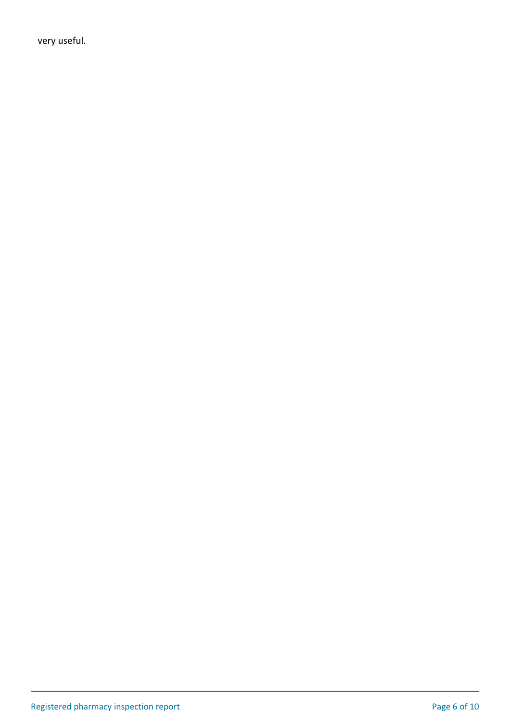very useful.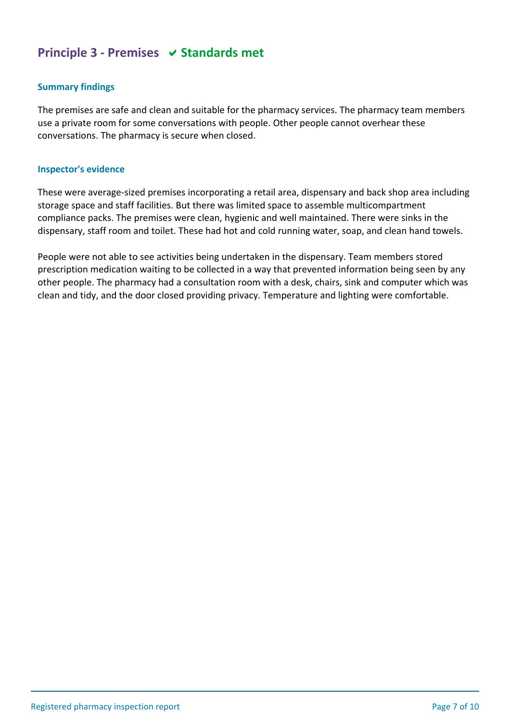## **Principle 3 - Premises**  $\vee$  **Standards met**

## **Summary findings**

The premises are safe and clean and suitable for the pharmacy services. The pharmacy team members use a private room for some conversations with people. Other people cannot overhear these conversations. The pharmacy is secure when closed.

#### **Inspector's evidence**

These were average-sized premises incorporating a retail area, dispensary and back shop area including storage space and staff facilities. But there was limited space to assemble multicompartment compliance packs. The premises were clean, hygienic and well maintained. There were sinks in the dispensary, staff room and toilet. These had hot and cold running water, soap, and clean hand towels.

People were not able to see activities being undertaken in the dispensary. Team members stored prescription medication waiting to be collected in a way that prevented information being seen by any other people. The pharmacy had a consultation room with a desk, chairs, sink and computer which was clean and tidy, and the door closed providing privacy. Temperature and lighting were comfortable.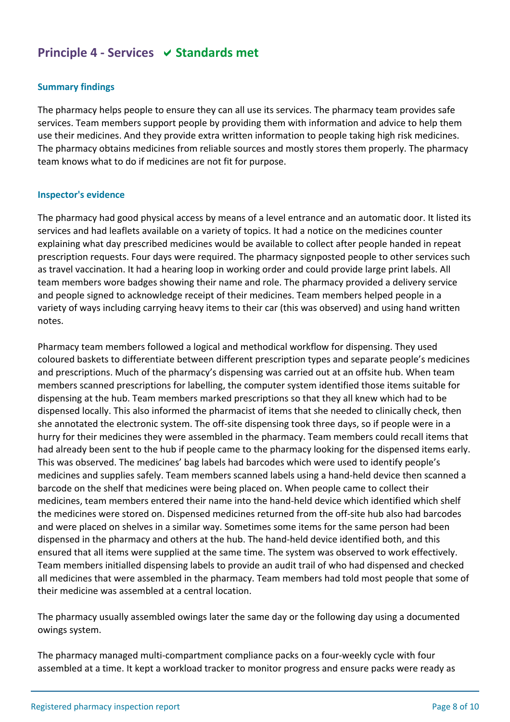## **Principle 4 - Services**  $\vee$  **Standards met**

## **Summary findings**

The pharmacy helps people to ensure they can all use its services. The pharmacy team provides safe services. Team members support people by providing them with information and advice to help them use their medicines. And they provide extra written information to people taking high risk medicines. The pharmacy obtains medicines from reliable sources and mostly stores them properly. The pharmacy team knows what to do if medicines are not fit for purpose.

#### **Inspector's evidence**

The pharmacy had good physical access by means of a level entrance and an automatic door. It listed its services and had leaflets available on a variety of topics. It had a notice on the medicines counter explaining what day prescribed medicines would be available to collect after people handed in repeat prescription requests. Four days were required. The pharmacy signposted people to other services such as travel vaccination. It had a hearing loop in working order and could provide large print labels. All team members wore badges showing their name and role. The pharmacy provided a delivery service and people signed to acknowledge receipt of their medicines. Team members helped people in a variety of ways including carrying heavy items to their car (this was observed) and using hand written notes.

Pharmacy team members followed a logical and methodical workflow for dispensing. They used coloured baskets to differentiate between different prescription types and separate people's medicines and prescriptions. Much of the pharmacy's dispensing was carried out at an offsite hub. When team members scanned prescriptions for labelling, the computer system identified those items suitable for dispensing at the hub. Team members marked prescriptions so that they all knew which had to be dispensed locally. This also informed the pharmacist of items that she needed to clinically check, then she annotated the electronic system. The off-site dispensing took three days, so if people were in a hurry for their medicines they were assembled in the pharmacy. Team members could recall items that had already been sent to the hub if people came to the pharmacy looking for the dispensed items early. This was observed. The medicines' bag labels had barcodes which were used to identify people's medicines and supplies safely. Team members scanned labels using a hand-held device then scanned a barcode on the shelf that medicines were being placed on. When people came to collect their medicines, team members entered their name into the hand-held device which identified which shelf the medicines were stored on. Dispensed medicines returned from the off-site hub also had barcodes and were placed on shelves in a similar way. Sometimes some items for the same person had been dispensed in the pharmacy and others at the hub. The hand-held device identified both, and this ensured that all items were supplied at the same time. The system was observed to work effectively. Team members initialled dispensing labels to provide an audit trail of who had dispensed and checked all medicines that were assembled in the pharmacy. Team members had told most people that some of their medicine was assembled at a central location.

The pharmacy usually assembled owings later the same day or the following day using a documented owings system.

The pharmacy managed multi-compartment compliance packs on a four-weekly cycle with four assembled at a time. It kept a workload tracker to monitor progress and ensure packs were ready as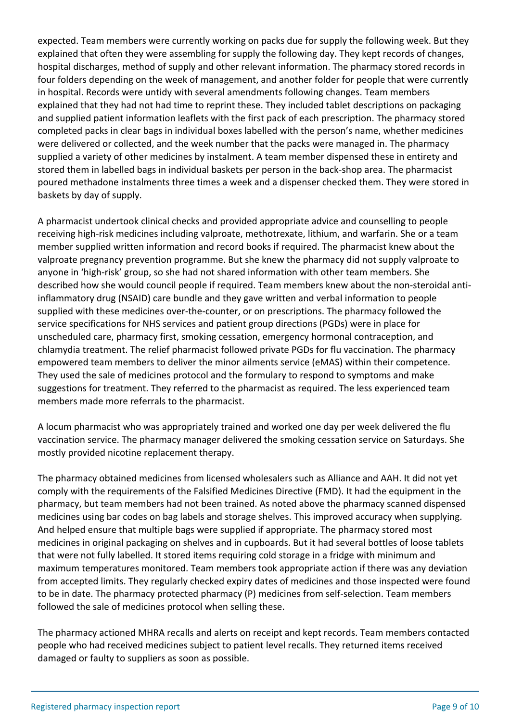expected. Team members were currently working on packs due for supply the following week. But they explained that often they were assembling for supply the following day. They kept records of changes, hospital discharges, method of supply and other relevant information. The pharmacy stored records in four folders depending on the week of management, and another folder for people that were currently in hospital. Records were untidy with several amendments following changes. Team members explained that they had not had time to reprint these. They included tablet descriptions on packaging and supplied patient information leaflets with the first pack of each prescription. The pharmacy stored completed packs in clear bags in individual boxes labelled with the person's name, whether medicines were delivered or collected, and the week number that the packs were managed in. The pharmacy supplied a variety of other medicines by instalment. A team member dispensed these in entirety and stored them in labelled bags in individual baskets per person in the back-shop area. The pharmacist poured methadone instalments three times a week and a dispenser checked them. They were stored in baskets by day of supply.

A pharmacist undertook clinical checks and provided appropriate advice and counselling to people receiving high-risk medicines including valproate, methotrexate, lithium, and warfarin. She or a team member supplied written information and record books if required. The pharmacist knew about the valproate pregnancy prevention programme. But she knew the pharmacy did not supply valproate to anyone in 'high-risk' group, so she had not shared information with other team members. She described how she would council people if required. Team members knew about the non-steroidal antiinflammatory drug (NSAID) care bundle and they gave written and verbal information to people supplied with these medicines over-the-counter, or on prescriptions. The pharmacy followed the service specifications for NHS services and patient group directions (PGDs) were in place for unscheduled care, pharmacy first, smoking cessation, emergency hormonal contraception, and chlamydia treatment. The relief pharmacist followed private PGDs for flu vaccination. The pharmacy empowered team members to deliver the minor ailments service (eMAS) within their competence. They used the sale of medicines protocol and the formulary to respond to symptoms and make suggestions for treatment. They referred to the pharmacist as required. The less experienced team members made more referrals to the pharmacist.

A locum pharmacist who was appropriately trained and worked one day per week delivered the flu vaccination service. The pharmacy manager delivered the smoking cessation service on Saturdays. She mostly provided nicotine replacement therapy.

The pharmacy obtained medicines from licensed wholesalers such as Alliance and AAH. It did not yet comply with the requirements of the Falsified Medicines Directive (FMD). It had the equipment in the pharmacy, but team members had not been trained. As noted above the pharmacy scanned dispensed medicines using bar codes on bag labels and storage shelves. This improved accuracy when supplying. And helped ensure that multiple bags were supplied if appropriate. The pharmacy stored most medicines in original packaging on shelves and in cupboards. But it had several bottles of loose tablets that were not fully labelled. It stored items requiring cold storage in a fridge with minimum and maximum temperatures monitored. Team members took appropriate action if there was any deviation from accepted limits. They regularly checked expiry dates of medicines and those inspected were found to be in date. The pharmacy protected pharmacy (P) medicines from self-selection. Team members followed the sale of medicines protocol when selling these.

The pharmacy actioned MHRA recalls and alerts on receipt and kept records. Team members contacted people who had received medicines subject to patient level recalls. They returned items received damaged or faulty to suppliers as soon as possible.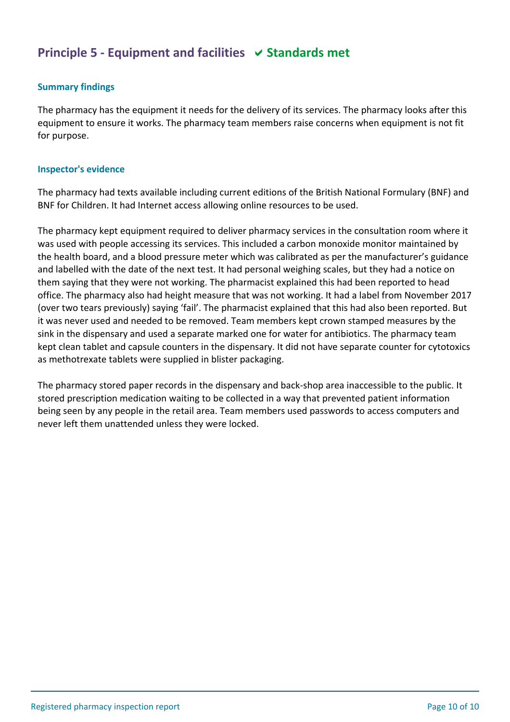## **Principle 5 - Equipment and facilities**  $\vee$  **Standards met**

## **Summary findings**

The pharmacy has the equipment it needs for the delivery of its services. The pharmacy looks after this equipment to ensure it works. The pharmacy team members raise concerns when equipment is not fit for purpose.

#### **Inspector's evidence**

The pharmacy had texts available including current editions of the British National Formulary (BNF) and BNF for Children. It had Internet access allowing online resources to be used.

The pharmacy kept equipment required to deliver pharmacy services in the consultation room where it was used with people accessing its services. This included a carbon monoxide monitor maintained by the health board, and a blood pressure meter which was calibrated as per the manufacturer's guidance and labelled with the date of the next test. It had personal weighing scales, but they had a notice on them saying that they were not working. The pharmacist explained this had been reported to head office. The pharmacy also had height measure that was not working. It had a label from November 2017 (over two tears previously) saying 'fail'. The pharmacist explained that this had also been reported. But it was never used and needed to be removed. Team members kept crown stamped measures by the sink in the dispensary and used a separate marked one for water for antibiotics. The pharmacy team kept clean tablet and capsule counters in the dispensary. It did not have separate counter for cytotoxics as methotrexate tablets were supplied in blister packaging.

The pharmacy stored paper records in the dispensary and back-shop area inaccessible to the public. It stored prescription medication waiting to be collected in a way that prevented patient information being seen by any people in the retail area. Team members used passwords to access computers and never left them unattended unless they were locked.